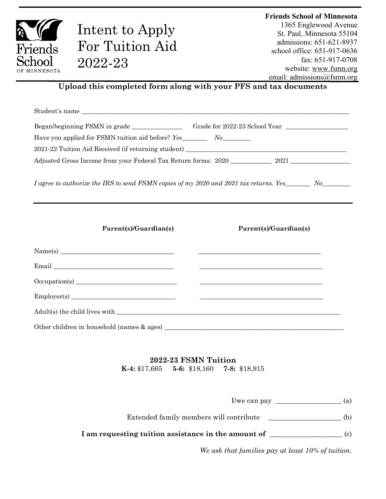|              |                                                                                             | <b>Friends School of Minnesota</b>                    |
|--------------|---------------------------------------------------------------------------------------------|-------------------------------------------------------|
|              | Intent to Apply                                                                             | 1365 Englewood Avenue                                 |
|              |                                                                                             | St. Paul, Minnesota 55104<br>admissions: 651-621-8937 |
| Friends      | For Tuition Aid                                                                             | school office: 651-917-0636                           |
| School       | 2022-23                                                                                     | fax: 651-917-0708                                     |
| OF MINNESOTA |                                                                                             | website: www.fsmn.org                                 |
|              | Upload this completed form along with your PFS and tax documents                            | email: admissions@fsmn.org                            |
|              |                                                                                             |                                                       |
|              |                                                                                             |                                                       |
|              |                                                                                             |                                                       |
|              |                                                                                             |                                                       |
|              | Have you applied for FSMN tuition aid before? Yes___________ No__________________           |                                                       |
|              |                                                                                             |                                                       |
|              |                                                                                             |                                                       |
|              | I agree to authorize the IRS to send FSMN copies of my 2020 and 2021 tax returns. Yes No No |                                                       |
|              | Parent(s)/Guardian(s)                                                                       | Parent(s)/Guardian(s)                                 |
|              |                                                                                             |                                                       |
|              | $\pmb{\text{Email}\_\_}$                                                                    |                                                       |
|              |                                                                                             |                                                       |
|              |                                                                                             |                                                       |
|              |                                                                                             |                                                       |

## **2022-23 FSMN Tuition**

**K-4:** \$17,665 **5-6:** \$18,160 **7-8:** \$18,915

I/we can pay \_\_\_\_\_\_\_\_\_\_\_\_\_\_\_\_\_\_\_ (a)

Extended family members will contribute \_\_\_\_\_\_\_\_\_\_\_\_\_\_\_\_\_\_\_\_\_ (b)

**I am requesting tuition assistance in the amount of** \_\_\_\_\_\_\_\_\_\_\_\_\_\_\_\_\_\_\_\_\_ (c)

*We ask that families pay at least 10% of tuition.*